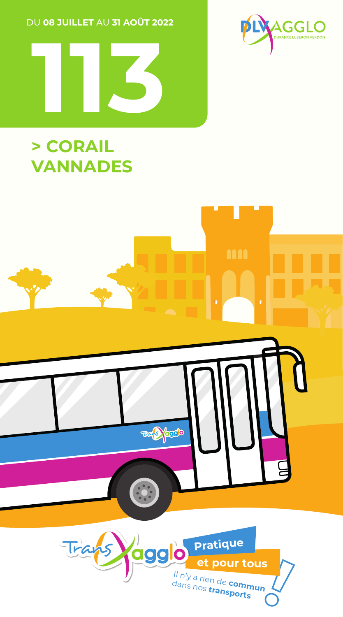DU 08 JUILLET AU 31 AOÛT 2022





## > CORAIL **VANNADES**

# **Tele prodo** Trans Pratique <u>nag</u> c et pour tous II n'y a rien de **commun**<br>dans nos **transports**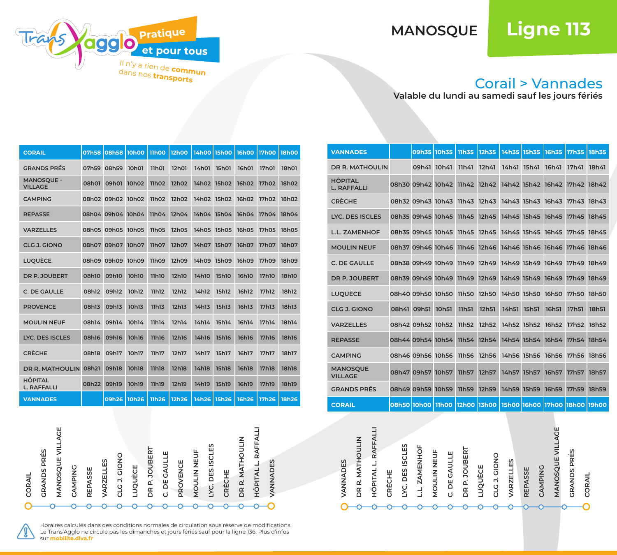## **MANOSQUE Ligne 113**



### Corail > Vannades

**Valable du lundi au samedi sauf les jours fériés**

| <b>CORAIL</b>                        | 07h58 | 08h58 10h00 |              | <b>11h00</b> | 12h00        | 14h00 15h00 |              | 16h00        | <b>17h00</b> | <b>18h00</b> |
|--------------------------------------|-------|-------------|--------------|--------------|--------------|-------------|--------------|--------------|--------------|--------------|
| <b>GRANDS PRÉS</b>                   | 07h59 | 08h59       | 10h01        | 11h01        | <b>12h01</b> | 14h01       | <b>15h01</b> | 16h01        | <b>17h01</b> | <b>18h01</b> |
| <b>MANOSOUE -</b><br><b>VILLAGE</b>  | 08h01 | 09h01       | 10h02        | 11h02        | 12h02        | 14h02       | <b>15h02</b> | 16h02        | <b>17h02</b> | 18h02        |
| <b>CAMPING</b>                       |       | 08h02 09h02 | 10h02        | 11h02        | 12h02        | 14h02 15h02 |              | 16h02        | 17h02        | 18h02        |
| <b>REPASSE</b>                       |       | 08h04 09h04 | 10h04        | 11h04        | 12h04        | 14h04 15h04 |              | 16h04        | 17h04        | 18h04        |
| <b>VARZELLES</b>                     |       | 08h05 09h05 | 10h05        | <b>11h05</b> | <b>12h05</b> | 14h05 15h05 |              | <b>16h05</b> | <b>17h05</b> | <b>18h05</b> |
| <b>CLG J. GIONO</b>                  | 08h07 | 09h07       | 10h07        | 11h07        | 12h07        | 14h07       | <b>15h07</b> | 16h07        | <b>17h07</b> | 18h07        |
| <b>LUQUÈCE</b>                       |       | 08h09 09h09 | 10h09        | <b>11h09</b> | 12h09        | 14h09 15h09 |              | 16h09        | 17h09        | 18h09        |
| DR P. JOUBERT                        | 08h10 | 09h10       | <b>10h10</b> | <b>11h10</b> | 12h10        | 14h10       | <b>15h10</b> | <b>16h10</b> | <b>17h10</b> | <b>18h10</b> |
| C. DE GAULLE                         | 08h12 | 09h12       | 10h12        | 11h12        | 12h12        | 14h12       | 15h12        | 16h12        | <b>17h12</b> | 18h12        |
| <b>PROVENCE</b>                      | 08h13 | 09h13       | 10h13        | 11h13        | <b>12h13</b> | 14h13       | 15h13        | 16h13        | <b>17h13</b> | 18h13        |
| <b>MOULIN NEUF</b>                   | 08h14 | 09h14       | 10h14        | 11h14        | 12h14        | 14h14       | 15h14        | 16h14        | 17h14        | 18h14        |
| <b>LYC. DES ISCLES</b>               | 08h16 | 09h16       | <b>10h16</b> | <b>11h16</b> | <b>12h16</b> | 14h16       | <b>15h16</b> | <b>16h16</b> | <b>17h16</b> | <b>18h16</b> |
| <b>CRÈCHE</b>                        | 08h18 | 09h17       | 10h17        | 11h17        | 12h17        | 14h17       | 15h17        | 16h17        | <b>17h17</b> | 18h17        |
| DR R. MATHOULIN 08h21                |       | 09h18       | <b>10h18</b> | 11h18        | <b>12h18</b> | 14h18       | <b>15h18</b> | <b>16h18</b> | <b>17h18</b> | <b>18h18</b> |
| <b>HÔPITAL</b><br><b>L. RAFFALLI</b> | 08h22 | 09h19       | 10h19        | 11h19        | <b>12h19</b> | 14h19       | <b>15h19</b> | 16h19        | <b>17h19</b> | 18h19        |
| <b>VANNADES</b>                      |       | 09h26 10h26 |              | 11h26        | 12h26        | 14h26       | <b>15h26</b> | <b>16h26</b> | <b>17h26</b> | 18h26        |



| <b>VANNADES</b>                      |                   | 09h35 10h35       | 11h35        | 12h35                                                        |             |             |             | 14h35 15h35 16h35 17h35 18h35 |       |
|--------------------------------------|-------------------|-------------------|--------------|--------------------------------------------------------------|-------------|-------------|-------------|-------------------------------|-------|
| <b>DR R. MATHOULIN</b>               | 09h41 10h41       |                   | 11h41        | 12h41                                                        | 14h41 15h41 |             | 16h41       | 17h41                         | 18h41 |
| <b>HÔPITAL</b><br><b>L. RAFFALLI</b> |                   |                   |              | 08h30 09h42 10h42 11h42 12h42 14h42 15h42 16h42 17h42 18h42  |             |             |             |                               |       |
| <b>CRÈCHE</b>                        |                   |                   |              | 08h32 09h43 10h43 11h43 12h43 14h43 15h43 16h43 17h43 18h43  |             |             |             |                               |       |
| LYC. DES ISCLES                      | 08h35 09h45 10h45 |                   | 11h45        | 12h45                                                        |             |             |             | 14h45 15h45 16h45 17h45       | 18h45 |
| <b>L.L. ZAMENHOF</b>                 |                   |                   |              | 08h35 09h45 10h45 11h45 12h45 14h45 15h45 16h45 17h45 18h45  |             |             |             |                               |       |
| <b>MOULIN NEUF</b>                   | 08h37 09h46 10h46 |                   |              | 11h46 12h46 14h46 15h46 16h46 17h46 18h46                    |             |             |             |                               |       |
| C. DE GAULLE                         |                   |                   |              | 08h38 09h49 10h49 11h49 12h49 14h49 15h49 16h49 17h49 18h49  |             |             |             |                               |       |
| DR P. JOUBERT                        |                   |                   |              | 08h39 09h49 10h49 11h49 12h49 14h49 15h49 16h49 17h49 18h49  |             |             |             |                               |       |
| <b>LUOUÈCE</b>                       |                   |                   |              | 08h40 09h50 10h50 11h50 12h50 14h50 15h50 16h50 17h50 18h50  |             |             |             |                               |       |
| <b>CLG J. GIONO</b>                  | 08h41 09h51       | 10h <sub>51</sub> | <b>11h51</b> | 12h51                                                        | 14h51       | 15h51       | 16h51       | <b>17h51</b>                  | 18h51 |
| <b>VARZELLES</b>                     | 08h42 09h52 10h52 |                   |              | 11h52 12h52                                                  |             |             |             | 14h52 15h52 16h52 17h52 18h52 |       |
| <b>REPASSE</b>                       | 08h44 09h54 10h54 |                   | 11h54        | 12h54                                                        |             |             |             | 14h54 15h54 16h54 17h54       | 18h54 |
| <b>CAMPING</b>                       | 08h46 09h56 10h56 |                   |              | 11h56 12h56 14h56 15h56 16h56 17h56 18h56                    |             |             |             |                               |       |
| <b>MANOSOUE</b><br><b>VILLAGE</b>    | 08h47 09h57 10h57 |                   | 11h57        | 12h57                                                        |             | 14h57 15h57 | 16h57       | 17h57                         | 18h57 |
| <b>GRANDS PRÉS</b>                   | 08h49 09h59 10h59 |                   | <b>11h59</b> | 12h59                                                        |             | 14h59 15h59 | 16h59 17h59 |                               | 18h59 |
| <b>CORAIL</b>                        |                   |                   |              | lo8h50 10h00 11h00 12h00 13h00 15h00 16h00 17h00 18h00 19h00 |             |             |             |                               |       |
|                                      |                   |                   |              |                                                              |             |             |             |                               |       |



Horaires calculés dans des conditions normales de circulation sous réserve de modifications. Le Trans'Agglo ne circule pas les dimanches et jours fériés sauf pour la ligne 136. Plus d'infos<br>sur mobilite diva fr sur **mobil**